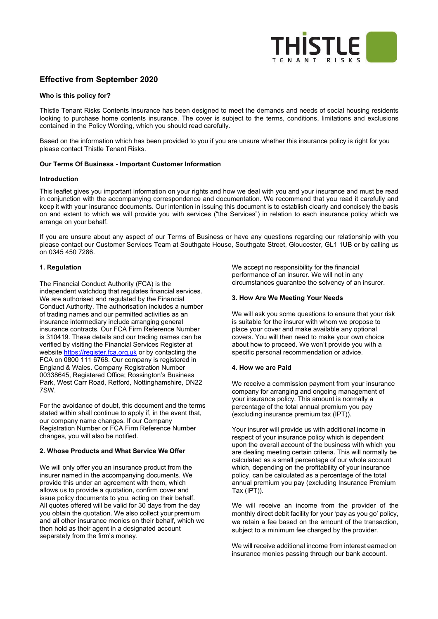

# **Effective from September 2020**

## **Who is this policy for?**

Thistle Tenant Risks Contents Insurance has been designed to meet the demands and needs of social housing residents looking to purchase home contents insurance. The cover is subject to the terms, conditions, limitations and exclusions contained in the Policy Wording, which you should read carefully.

Based on the information which has been provided to you if you are unsure whether this insurance policy is right for you please contact Thistle Tenant Risks.

## **Our Terms Of Business - Important Customer Information**

#### **Introduction**

This leaflet gives you important information on your rights and how we deal with you and your insurance and must be read in conjunction with the accompanying correspondence and documentation. We recommend that you read it carefully and keep it with your insurance documents. Our intention in issuing this document is to establish clearly and concisely the basis on and extent to which we will provide you with services ("the Services") in relation to each insurance policy which we arrange on your behalf.

If you are unsure about any aspect of our Terms of Business or have any questions regarding our relationship with you please contact our Customer Services Team at Southgate House, Southgate Street, Gloucester, GL1 1UB or by calling us on 0345 450 7286.

## **1. Regulation**

The Financial Conduct Authority (FCA) is the independent watchdog that regulates financial services. We are authorised and regulated by the Financial Conduct Authority. The authorisation includes a number of trading names and our permitted activities as an insurance intermediary include arranging general insurance contracts. Our FCA Firm Reference Number is 310419. These details and our trading names can be verified by visiting the Financial Services Register at website [https://register.fca.org.uk](https://register.fca.org.uk/) or by contacting the FCA on 0800 111 6768. Our company is registered in England & Wales. Company Registration Number 00338645, Registered Office; Rossington's Business Park, West Carr Road, Retford, Nottinghamshire, DN22 7SW.

For the avoidance of doubt, this document and the terms stated within shall continue to apply if, in the event that, our company name changes. If our Company Registration Number or FCA Firm Reference Number changes, you will also be notified.

## **2. Whose Products and What Service We Offer**

We will only offer you an insurance product from the insurer named in the accompanying documents. We provide this under an agreement with them, which allows us to provide a quotation, confirm cover and issue policy documents to you, acting on their behalf. All quotes offered will be valid for 30 days from the day you obtain the quotation. We also collect your premium and all other insurance monies on their behalf, which we then hold as their agent in a designated account separately from the firm's money.

We accept no responsibility for the financial performance of an insurer. We will not in any circumstances guarantee the solvency of an insurer.

## **3. How Are We Meeting Your Needs**

We will ask you some questions to ensure that your risk is suitable for the insurer with whom we propose to place your cover and make available any optional covers. You will then need to make your own choice about how to proceed. We won't provide you with a specific personal recommendation or advice.

#### **4. How we are Paid**

We receive a commission payment from your insurance company for arranging and ongoing management of your insurance policy. This amount is normally a percentage of the total annual premium you pay (excluding insurance premium tax (IPT)).

Your insurer will provide us with additional income in respect of your insurance policy which is dependent upon the overall account of the business with which you are dealing meeting certain criteria. This will normally be calculated as a small percentage of our whole account which, depending on the profitability of your insurance policy, can be calculated as a percentage of the total annual premium you pay (excluding Insurance Premium Tax (IPT)).

We will receive an income from the provider of the monthly direct debit facility for your 'pay as you go' policy, we retain a fee based on the amount of the transaction, subject to a minimum fee charged by the provider.

We will receive additional income from interest earned on insurance monies passing through our bank account.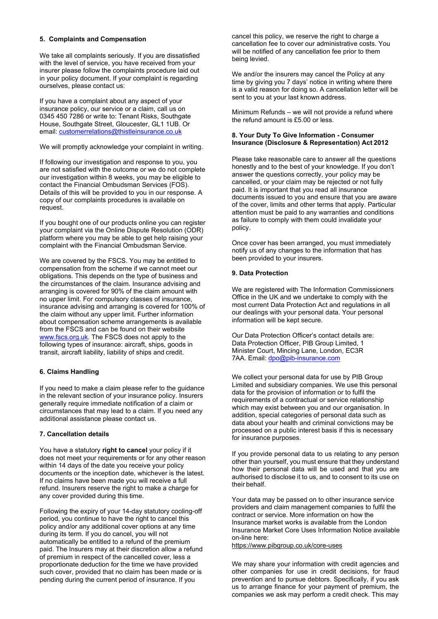## **5. Complaints and Compensation**

We take all complaints seriously. If you are dissatisfied with the level of service, you have received from your insurer please follow the complaints procedure laid out in your policy document. If your complaint is regarding ourselves, please contact us:

If you have a complaint about any aspect of your insurance policy, our service or a claim, call us on 0345 450 7286 or write to: Tenant Risks, Southgate House, Southgate Street, Gloucester, GL1 1UB. Or email: [customerrelations@thistleinsurance.co.uk](mailto:customerrelations@thistleinsurance.co.uk)

We will promptly acknowledge your complaint in writing.

If following our investigation and response to you, you are not satisfied with the outcome or we do not complete our investigation within 8 weeks, you may be eligible to contact the Financial Ombudsman Services (FOS). Details of this will be provided to you in our response. A copy of our complaints procedures is available on request.

If you bought one of our products online you can register your complaint via the Online Dispute Resolution (ODR) platform where you may be able to get help raising your complaint with the Financial Ombudsman Service.

We are covered by the FSCS. You may be entitled to compensation from the scheme if we cannot meet our obligations. This depends on the type of business and the circumstances of the claim. Insurance advising and arranging is covered for 90% of the claim amount with no upper limit. For compulsory classes of insurance, insurance advising and arranging is covered for 100% of the claim without any upper limit. Further information about compensation scheme arrangements is available from the FSCS and can be found on their website [www.fscs.org.uk. T](http://www.fscs.org.uk/)he FSCS does not apply to the following types of insurance: aircraft, ships, goods in transit, aircraft liability, liability of ships and credit.

## **6. Claims Handling**

If you need to make a claim please refer to the guidance in the relevant section of your insurance policy. Insurers generally require immediate notification of a claim or circumstances that may lead to a claim. If you need any additional assistance please contact us.

## **7. Cancellation details**

You have a statutory **right to cancel** your policy if it does not meet your requirements or for any other reason within 14 days of the date you receive your policy documents or the inception date, whichever is the latest. If no claims have been made you will receive a full refund. Insurers reserve the right to make a charge for any cover provided during this time.

Following the expiry of your 14-day statutory cooling-off period, you continue to have the right to cancel this policy and/or any additional cover options at any time during its term. If you do cancel, you will not automatically be entitled to a refund of the premium paid. The Insurers may at their discretion allow a refund of premium in respect of the cancelled cover, less a proportionate deduction for the time we have provided such cover, provided that no claim has been made or is pending during the current period of insurance. If you

cancel this policy, we reserve the right to charge a cancellation fee to cover our administrative costs. You will be notified of any cancellation fee prior to them being levied.

We and/or the insurers may cancel the Policy at any time by giving you 7 days' notice in writing where there is a valid reason for doing so. A cancellation letter will be sent to you at your last known address.

Minimum Refunds – we will not provide a refund where the refund amount is £5.00 or less.

#### **8. Your Duty To Give Information - Consumer Insurance (Disclosure & Representation) Act 2012**

Please take reasonable care to answer all the questions honestly and to the best of your knowledge. If you don't answer the questions correctly, your policy may be cancelled, or your claim may be rejected or not fully paid. It is important that you read all insurance documents issued to you and ensure that you are aware of the cover, limits and other terms that apply. Particular attention must be paid to any warranties and conditions as failure to comply with them could invalidate your policy.

Once cover has been arranged, you must immediately notify us of any changes to the information that has been provided to your insurers.

## **9. Data Protection**

We are registered with The Information Commissioners Office in the UK and we undertake to comply with the most current Data Protection Act and regulations in all our dealings with your personal data. Your personal information will be kept secure.

Our Data Protection Officer's contact details are: Data Protection Officer, PIB Group Limited, 1 Minister Court, Mincing Lane, London, EC3R 7AA. Email: [dpo@pib-insurance.com](mailto:dpo@pib-insurance.com)

We collect your personal data for use by PIB Group Limited and subsidiary companies. We use this personal data for the provision of information or to fulfil the requirements of a contractual or service relationship which may exist between you and our organisation. In addition, special categories of personal data such as data about your health and criminal convictions may be processed on a public interest basis if this is necessary for insurance purposes.

If you provide personal data to us relating to any person other than yourself, you must ensure that they understand how their personal data will be used and that you are authorised to disclose it to us, and to consent to its use on their behalf.

Your data may be passed on to other insurance service providers and claim management companies to fulfil the contract or service. More information on how the Insurance market works is available from the London Insurance Market Core Uses Information Notice available on-line here:

<https://www.pibgroup.co.uk/core-uses>

We may share your information with credit agencies and other companies for use in credit decisions, for fraud prevention and to pursue debtors. Specifically, if you ask us to arrange finance for your payment of premium, the companies we ask may perform a credit check. This may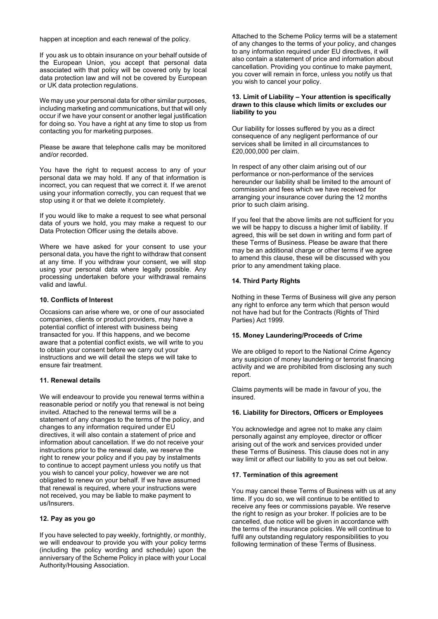happen at inception and each renewal of the policy.

If you ask us to obtain insurance on your behalf outside of the European Union, you accept that personal data associated with that policy will be covered only by local data protection law and will not be covered by European or UK data protection regulations.

We may use your personal data for other similar purposes, including marketing and communications, but that will only occur if we have your consent or another legal justification for doing so. You have a right at any time to stop us from contacting you for marketing purposes.

Please be aware that telephone calls may be monitored and/or recorded.

You have the right to request access to any of your personal data we may hold. If any of that information is incorrect, you can request that we correct it. If we arenot using your information correctly, you can request that we stop using it or that we delete it completely.

If you would like to make a request to see what personal data of yours we hold, you may make a request to our Data Protection Officer using the details above.

Where we have asked for your consent to use your personal data, you have the right to withdraw that consent at any time. If you withdraw your consent, we will stop using your personal data where legally possible. Any processing undertaken before your withdrawal remains valid and lawful.

## **10. Conflicts of Interest**

Occasions can arise where we, or one of our associated companies, clients or product providers, may have a potential conflict of interest with business being transacted for you. If this happens, and we become aware that a potential conflict exists, we will write to you to obtain your consent before we carry out your instructions and we will detail the steps we will take to ensure fair treatment.

#### **11. Renewal details**

We will endeavour to provide you renewal terms within a reasonable period or notify you that renewal is not being invited. Attached to the renewal terms will be a statement of any changes to the terms of the policy, and changes to any information required under EU directives, it will also contain a statement of price and information about cancellation. If we do not receive your instructions prior to the renewal date, we reserve the right to renew your policy and if you pay by instalments to continue to accept payment unless you notify us that you wish to cancel your policy, however we are not obligated to renew on your behalf. If we have assumed that renewal is required, where your instructions were not received, you may be liable to make payment to us/Insurers.

#### **12. Pay as you go**

If you have selected to pay weekly, fortnightly, or monthly, we will endeavour to provide you with your policy terms (including the policy wording and schedule) upon the anniversary of the Scheme Policy in place with your Local Authority/Housing Association.

Attached to the Scheme Policy terms will be a statement of any changes to the terms of your policy, and changes to any information required under EU directives, it will also contain a statement of price and information about cancellation. Providing you continue to make payment, you cover will remain in force, unless you notify us that you wish to cancel your policy.

#### **13. Limit of Liability – Your attention is specifically drawn to this clause which limits or excludes our liability to you**

Our liability for losses suffered by you as a direct consequence of any negligent performance of our services shall be limited in all circumstances to £20,000,000 per claim.

In respect of any other claim arising out of our performance or non-performance of the services hereunder our liability shall be limited to the amount of commission and fees which we have received for arranging your insurance cover during the 12 months prior to such claim arising.

If you feel that the above limits are not sufficient for you we will be happy to discuss a higher limit of liability. If agreed, this will be set down in writing and form part of these Terms of Business. Please be aware that there may be an additional charge or other terms if we agree to amend this clause, these will be discussed with you prior to any amendment taking place.

## **14. Third Party Rights**

Nothing in these Terms of Business will give any person any right to enforce any term which that person would not have had but for the Contracts (Rights of Third Parties) Act 1999.

#### **15. Money Laundering/Proceeds of Crime**

We are obliged to report to the National Crime Agency any suspicion of money laundering or terrorist financing activity and we are prohibited from disclosing any such report.

Claims payments will be made in favour of you, the insured.

#### **16. Liability for Directors, Officers or Employees**

You acknowledge and agree not to make any claim personally against any employee, director or officer arising out of the work and services provided under these Terms of Business. This clause does not in any way limit or affect our liability to you as set out below.

#### **17. Termination of this agreement**

You may cancel these Terms of Business with us at any time. If you do so, we will continue to be entitled to receive any fees or commissions payable. We reserve the right to resign as your broker. If policies are to be cancelled, due notice will be given in accordance with the terms of the insurance policies. We will continue to fulfil any outstanding regulatory responsibilities to you following termination of these Terms of Business.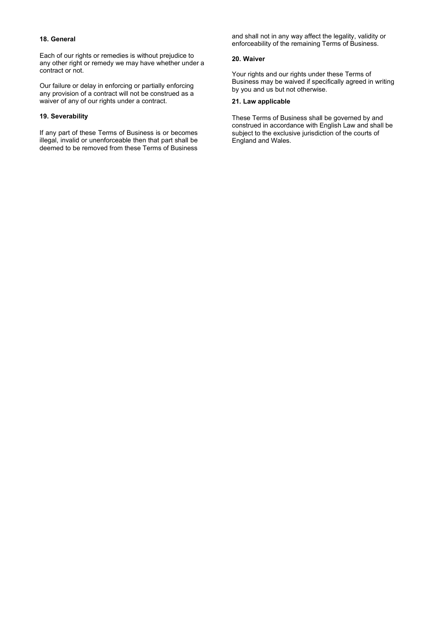#### **18. General**

Each of our rights or remedies is without prejudice to any other right or remedy we may have whether under a contract or not.

Our failure or delay in enforcing or partially enforcing any provision of a contract will not be construed as a waiver of any of our rights under a contract.

## **19. Severability**

If any part of these Terms of Business is or becomes illegal, invalid or unenforceable then that part shall be deemed to be removed from these Terms of Business

and shall not in any way affect the legality, validity or enforceability of the remaining Terms of Business.

## **20. Waiver**

Your rights and our rights under these Terms of Business may be waived if specifically agreed in writing by you and us but not otherwise.

## **21. Law applicable**

These Terms of Business shall be governed by and construed in accordance with English Law and shall be subject to the exclusive jurisdiction of the courts of England and Wales.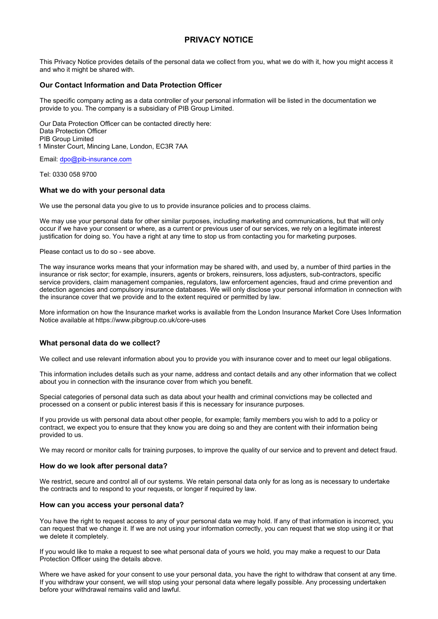# **PRIVACY NOTICE**

This Privacy Notice provides details of the personal data we collect from you, what we do with it, how you might access it and who it might be shared with.

## **Our Contact Information and Data Protection Officer**

The specific company acting as a data controller of your personal information will be listed in the documentation we provide to you. The company is a subsidiary of PIB Group Limited.

Our Data Protection Officer can be contacted directly here: Data Protection Officer PIB Group Limited 1 Minster Court, Mincing Lane, London, EC3R 7AA

Email: [dpo@pib-insurance.com](mailto:dpo@pib-insurance.com)

Tel: 0330 058 9700

## **What we do with your personal data**

We use the personal data you give to us to provide insurance policies and to process claims.

We may use your personal data for other similar purposes, including marketing and communications, but that will only occur if we have your consent or where, as a current or previous user of our services, we rely on a legitimate interest justification for doing so. You have a right at any time to stop us from contacting you for marketing purposes.

Please contact us to do so - see above.

The way insurance works means that your information may be shared with, and used by, a number of third parties in the insurance or risk sector; for example, insurers, agents or brokers, reinsurers, loss adjusters, sub-contractors, specific service providers, claim management companies, regulators, law enforcement agencies, fraud and crime prevention and detection agencies and compulsory insurance databases. We will only disclose your personal information in connection with the insurance cover that we provide and to the extent required or permitted by law.

More information on how the Insurance market works is available from the London Insurance Market Core Uses Information Notice available at https://www.pibgroup.co.uk/core-uses

## **What personal data do we collect?**

We collect and use relevant information about you to provide you with insurance cover and to meet our legal obligations.

This information includes details such as your name, address and contact details and any other information that we collect about you in connection with the insurance cover from which you benefit.

Special categories of personal data such as data about your health and criminal convictions may be collected and processed on a consent or public interest basis if this is necessary for insurance purposes.

If you provide us with personal data about other people, for example; family members you wish to add to a policy or contract, we expect you to ensure that they know you are doing so and they are content with their information being provided to us.

We may record or monitor calls for training purposes, to improve the quality of our service and to prevent and detect fraud.

#### **How do we look after personal data?**

We restrict, secure and control all of our systems. We retain personal data only for as long as is necessary to undertake the contracts and to respond to your requests, or longer if required by law.

#### **How can you access your personal data?**

You have the right to request access to any of your personal data we may hold. If any of that information is incorrect, you can request that we change it. If we are not using your information correctly, you can request that we stop using it or that we delete it completely.

If you would like to make a request to see what personal data of yours we hold, you may make a request to our Data Protection Officer using the details above.

Where we have asked for your consent to use your personal data, you have the right to withdraw that consent at any time. If you withdraw your consent, we will stop using your personal data where legally possible. Any processing undertaken before your withdrawal remains valid and lawful.